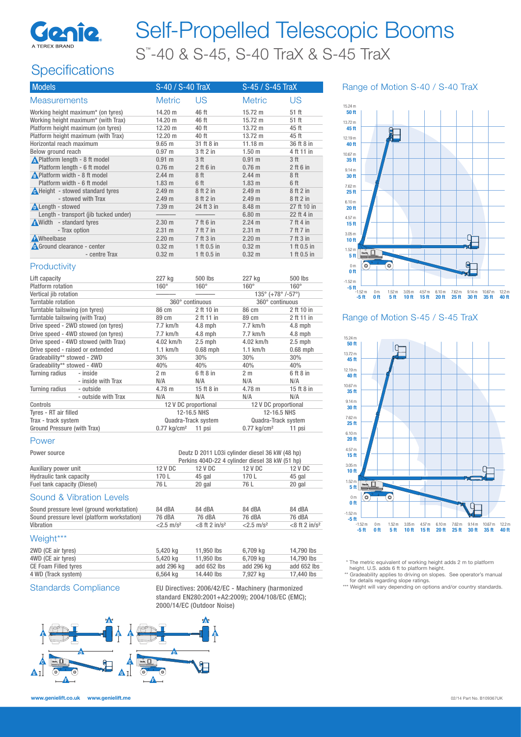

# Self-Propelled Telescopic Booms S™ -40 & S-45, S-40 TraX & S-45 TraX

## **Specifications**

| <b>Models</b>                           | S-40 / S-40 TraX  |                 | S-45 / S-45 TraX  |                 |
|-----------------------------------------|-------------------|-----------------|-------------------|-----------------|
| <b>Measurements</b>                     | <b>Metric</b>     | US              | <b>Metric</b>     | US              |
| Working height maximum* (on tyres)      | 14.20 m           | 46 ft           | $15.72 \text{ m}$ | 51 ft           |
| Working height maximum* (with Trax)     | 14.20 m           | 46 ft           | $15.72 \text{ m}$ | 51 ft           |
| Platform height maximum (on tyres)      | $12.20 \text{ m}$ | 40 ft           | $13.72 \text{ m}$ | 45 ft           |
| Platform height maximum (with Trax)     | $12.20 \text{ m}$ | 40 ft           | $13.72 \text{ m}$ | 45 ft           |
| Horizontal reach maximum                | $9.65$ m          | 31 ft 8 in      | 11.18 m           | 36 ft 8 in      |
| Below ground reach                      | 0.97 m            | 3 ft 2 in       | 1.50 <sub>m</sub> | 4 ft 11 in      |
| ▲ Platform length - 8 ft model          | $0.91 \;{\rm m}$  | 3 <sub>ft</sub> | 0.91 m            | 3 <sup>ft</sup> |
| Platform length - 6 ft model            | $0.76$ m          | $2$ ft 6 in     | $0.76$ m          | $2$ ft 6 in     |
| <b>A</b> Platform width - 8 ft model    | 2.44 m            | 8 ft            | 2.44 m            | 8ft             |
| Platform width - 6 ft model             | $1.83$ m          | 6 <sup>th</sup> | $1.83$ m          | 6 <sup>ft</sup> |
| <b>A</b> Height - stowed standard tyres | 2.49 m            | 8 ft 2 in       | 2.49 m            | 8 ft 2 in       |
| - stowed with Trax                      | 2.49 <sub>m</sub> | 8 ft 2 in       | 2.49 m            | 8 ft 2 in       |
| <b>ALength - stowed</b>                 | 7.39 m            | 24 ft 3 in      | $8.48$ m          | 27 ft 10 in     |
| Length - transport (jib tucked under)   |                   |                 | 6.80 <sub>m</sub> | 22 ft 4 in      |
| Width - standard tyres                  | 2.30 <sub>m</sub> | 7 ft 6 in       | 2.24 m            | 7 ft 4 in       |
| - Trax option                           | 2.31 m            | 7 ft 7 in       | $2.31 \text{ m}$  | 7 ft 7 in       |
| <b>A</b> Wheelbase                      | $2.20 \text{ m}$  | 7 ft 3 in       | $2.20 \text{ m}$  | 7 ft 3 in       |
| <b>A</b> Ground clearance - center      | $0.32 \text{ m}$  | 1 ft 0.5 in     | $0.32 \; m$       | 1 ft 0.5 in     |
| - centre Trax                           | $0.32 \text{ m}$  | 1 ft 0.5 in     | $0.32 \text{ m}$  | 1 ft 0.5 in     |

#### **Productivity**

| Lift capacity                    |                                      | 227 kg                                                        | 500 lbs         | 227 kg                                          | 500 lbs              |  |
|----------------------------------|--------------------------------------|---------------------------------------------------------------|-----------------|-------------------------------------------------|----------------------|--|
| Platform rotation                |                                      | $160^\circ$                                                   | $160^\circ$     | $160^\circ$                                     | $160^\circ$          |  |
| Vertical jib rotation            |                                      |                                                               |                 | $135^{\circ}$ (+78 $^{\circ}$ /-57 $^{\circ}$ ) |                      |  |
| Turntable rotation               |                                      |                                                               | 360° continuous | 360° continuous                                 |                      |  |
| Turntable tailswing (on tyres)   |                                      | 86 cm                                                         | 2 ft 10 in      | 86 cm                                           | 2 ft 10 in           |  |
| Turntable tailswing (with Trax)  |                                      | 89 cm                                                         | 2 ft 11 in      | 89 cm                                           | 2 ft 11 in           |  |
|                                  | Drive speed - 2WD stowed (on tyres)  | $7.7$ km/h                                                    | $4.8$ mph       | 7.7 km/h                                        | $4.8$ mph            |  |
|                                  | Drive speed - 4WD stowed (on tyres)  | $7.7$ km/h                                                    | $4.8$ mph       | $7.7$ km/h                                      | $4.8$ mph            |  |
|                                  | Drive speed - 4WD stowed (with Trax) | 4.02 km/h                                                     | $2.5$ mph       | 4.02 km/h                                       | $2.5$ mph            |  |
| Drive speed - raised or extended |                                      | $1.1$ km/h                                                    | $0.68$ mph      | $1.1$ km/h                                      | $0.68$ mph           |  |
| Gradeability** stowed - 2WD      |                                      | 30%                                                           | 30%             | 30%<br>30%                                      |                      |  |
| Gradeability** stowed - 4WD      |                                      | 40%                                                           | 40%             | 40%<br>40%                                      |                      |  |
| Turning radius                   | - inside                             | 2 <sub>m</sub>                                                | 6 ft 8 in       | 2 <sub>m</sub>                                  | 6 ft 8 in            |  |
|                                  | - inside with Trax                   | N/A                                                           | N/A             | N/A                                             | N/A                  |  |
| Turning radius                   | - outside                            | 4.78 m                                                        | 15 ft 8 in      | 4.78 m                                          | 15 ft 8 in           |  |
|                                  | - outside with Trax                  | N/A                                                           | N/A             | N/A                                             | N/A                  |  |
| Controls                         |                                      | 12 V DC proportional                                          |                 |                                                 | 12 V DC proportional |  |
| Tyres - RT air filled            |                                      | 12-16.5 NHS<br>12-16.5 NHS                                    |                 |                                                 |                      |  |
| Trax - track system              |                                      | Quadra-Track system<br>Quadra-Track system                    |                 |                                                 |                      |  |
| Ground Pressure (with Trax)      |                                      | $0.77$ kg/cm <sup>2</sup> 11 psi<br>$0.77$ kg/cm <sup>2</sup> |                 | 11 psi                                          |                      |  |

#### Power

| Power source                | Deutz D 2011 L03i cylinder diesel 36 kW (48 hp) |         |         |         |
|-----------------------------|-------------------------------------------------|---------|---------|---------|
|                             | Perkins 404D-22 4 cylinder diesel 38 kW (51 hp) |         |         |         |
| Auxiliary power unit        | $12$ V DC                                       | 12 V DC | 12 V DC | 12 V DC |
| Hydraulic tank capacity     | 170 L                                           | 45 gal  | 170 L   | 45 gal  |
| Fuel tank capacity (Diesel) | 76 L                                            | 20 gal  | 76 L    | 20 gal  |

#### Sound & Vibration Levels

| Sound pressure level (ground workstation)   | 84 dBA                   | 84 dBA                       | 84 dBA                   | 84 dBA                       |
|---------------------------------------------|--------------------------|------------------------------|--------------------------|------------------------------|
| Sound pressure level (platform workstation) | 76 dBA                   | 76 dBA                       | 76 dBA                   | 76 dBA                       |
| Vibration                                   | $< 2.5$ m/s <sup>2</sup> | $<$ 8 ft 2 in/s <sup>2</sup> | $<$ 2.5 m/s <sup>2</sup> | $<$ 8 ft 2 in/s <sup>2</sup> |

#### Weight\*\*\*

| 2WD (CE air tyres)          | 5.420 kg   | 11,950 lbs  | 6.709 ka   | 14.790 lbs  |
|-----------------------------|------------|-------------|------------|-------------|
| 4WD (CE air tyres)          | 5.420 ka   | 11,950 lbs  | 6.709 ka   | 14.790 lbs  |
| <b>CE Foam Filled tyres</b> | add 296 kg | add 652 lbs | add 296 kg | add 652 lbs |
| 4 WD (Track system)         | 6.564 ka   | 14.440 lbs  | 7.927 ka   | 17.440 lbs  |

Standards Compliance EU Directives: 2006/42/EC - Machinery (harmonized standard EN280:2001+A2:2009); 2004/108/EC (EMC); 2000/14/EC (Outdoor Noise)



#### Range of Motion S-40 / S-40 TraX



#### Range of Motion S-45 / S-45 TraX



\* The metric equivalent of working height adds 2 m to platform

height. U.S. adds 6 ft to platform height.

\*\* Gradeability applies to driving on slopes. See operator's manual for details regarding slope ratings. \*\*\* Weight will vary depending on options and/or country standards.